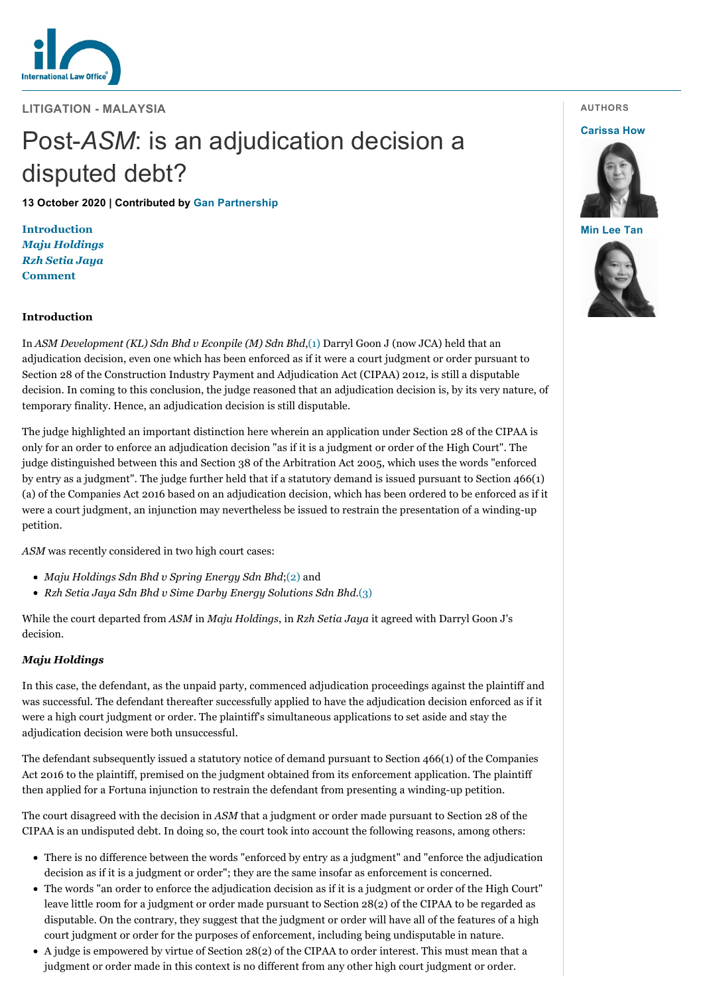

**LITIGATION - MALAYSIA**

# Post-*ASM*: is an adjudication decision a disputed debt?

**13 October 2020 | Contributed by [Gan Partnership](https://www.internationallawoffice.com/gesr.ashx?l=97KSRR0)**

**[Introduction](#page-0-0)** *[Maju Holdings](#page-0-1) [Rzh Setia Jaya](#page-1-0)* **[Comment](#page-1-1)**

## <span id="page-0-0"></span>**Introduction**

In *ASM Development (KL) Sdn Bhd v Econpile (M) Sdn Bhd*,[\(1\)](#page-2-0) Darryl Goon J (now JCA) held that an adjudication decision, even one which has been enforced as if it were a court judgment or order pursuant to Section 28 of the Construction Industry Payment and Adjudication Act (CIPAA) 2012, is still a disputable decision. In coming to this conclusion, the judge reasoned that an adjudication decision is, by its very nature, of temporary finality. Hence, an adjudication decision is still disputable.

The judge highlighted an important distinction here wherein an application under Section 28 of the CIPAA is only for an order to enforce an adjudication decision "as if it is a judgment or order of the High Court". The judge distinguished between this and Section 38 of the Arbitration Act 2005, which uses the words "enforced by entry as a judgment". The judge further held that if a statutory demand is issued pursuant to Section 466(1) (a) of the Companies Act 2016 based on an adjudication decision, which has been ordered to be enforced as if it were a court judgment, an injunction may nevertheless be issued to restrain the presentation of a winding-up petition.

*ASM* was recently considered in two high court cases:

- *Maju Holdings Sdn Bhd v Spring Energy Sdn Bhd*[;\(2\)](#page-2-1) and
- *Rzh Setia Jaya Sdn Bhd v Sime Darby Energy Solutions Sdn Bhd*.[\(3\)](#page-2-2)

While the court departed from *ASM* in *Maju Holdings*, in *Rzh Setia Jaya* it agreed with Darryl Goon J's decision.

## <span id="page-0-1"></span>*Maju Holdings*

In this case, the defendant, as the unpaid party, commenced adjudication proceedings against the plaintiff and was successful. The defendant thereafter successfully applied to have the adjudication decision enforced as if it were a high court judgment or order. The plaintiff's simultaneous applications to set aside and stay the adjudication decision were both unsuccessful.

The defendant subsequently issued a statutory notice of demand pursuant to Section 466(1) of the Companies Act 2016 to the plaintiff, premised on the judgment obtained from its enforcement application. The plaintiff then applied for a Fortuna injunction to restrain the defendant from presenting a winding-up petition.

The court disagreed with the decision in *ASM* that a judgment or order made pursuant to Section 28 of the CIPAA is an undisputed debt. In doing so, the court took into account the following reasons, among others:

- There is no difference between the words "enforced by entry as a judgment" and "enforce the adjudication decision as if it is a judgment or order"; they are the same insofar as enforcement is concerned.
- The words "an order to enforce the adjudication decision as if it is a judgment or order of the High Court" leave little room for a judgment or order made pursuant to Section 28(2) of the CIPAA to be regarded as disputable. On the contrary, they suggest that the judgment or order will have all of the features of a high court judgment or order for the purposes of enforcement, including being undisputable in nature.
- A judge is empowered by virtue of Section 28(2) of the CIPAA to order interest. This must mean that a judgment or order made in this context is no different from any other high court judgment or order.

**AUTHORS**

#### **[Carissa How](https://www.internationallawoffice.com/gesr.ashx?l=97KSRRF)**



**[Min Lee Tan](https://www.internationallawoffice.com/gesr.ashx?l=97KSRRJ)**

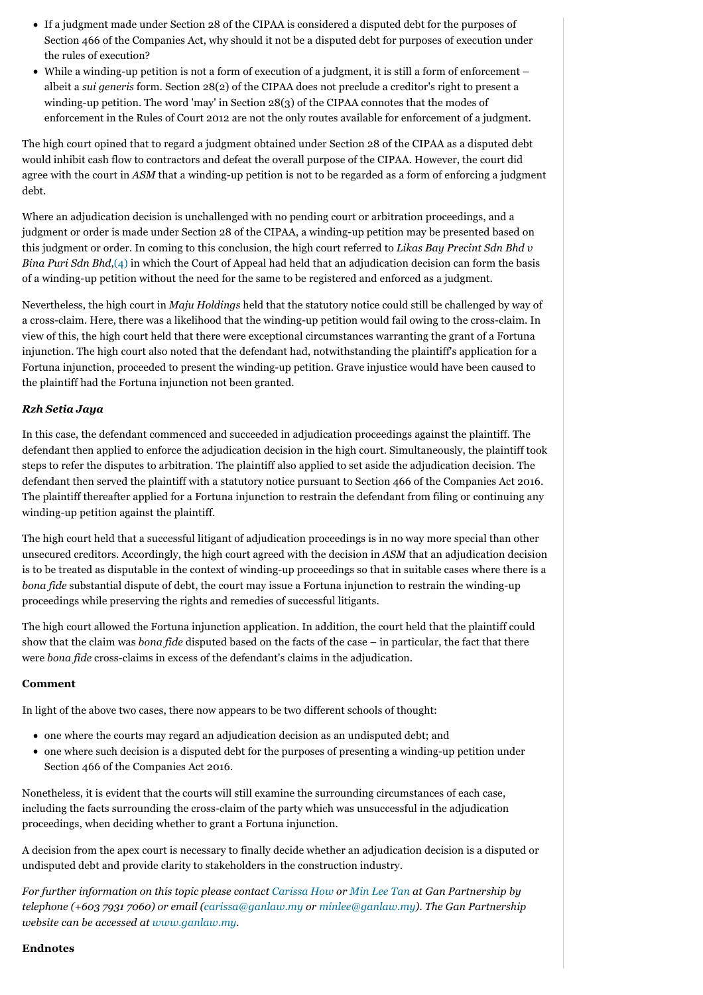- If a judgment made under Section 28 of the CIPAA is considered a disputed debt for the purposes of Section 466 of the Companies Act, why should it not be a disputed debt for purposes of execution under the rules of execution?
- While a winding-up petition is not a form of execution of a judgment, it is still a form of enforcement albeit a *sui generis* form. Section 28(2) of the CIPAA does not preclude a creditor's right to present a winding-up petition. The word 'may' in Section 28(3) of the CIPAA connotes that the modes of enforcement in the Rules of Court 2012 are not the only routes available for enforcement of a judgment.

The high court opined that to regard a judgment obtained under Section 28 of the CIPAA as a disputed debt would inhibit cash flow to contractors and defeat the overall purpose of the CIPAA. However, the court did agree with the court in *ASM* that a winding-up petition is not to be regarded as a form of enforcing a judgment debt.

Where an adjudication decision is unchallenged with no pending court or arbitration proceedings, and a judgment or order is made under Section 28 of the CIPAA, a winding-up petition may be presented based on this judgment or order. In coming to this conclusion, the high court referred to *Likas Bay Precint Sdn Bhd v Bina Puri Sdn Bhd*[,\(4\)](#page-2-3) in which the Court of Appeal had held that an adjudication decision can form the basis of a winding-up petition without the need for the same to be registered and enforced as a judgment.

Nevertheless, the high court in *Maju Holdings* held that the statutory notice could still be challenged by way of a cross-claim. Here, there was a likelihood that the winding-up petition would fail owing to the cross-claim. In view of this, the high court held that there were exceptional circumstances warranting the grant of a Fortuna injunction. The high court also noted that the defendant had, notwithstanding the plaintiff's application for a Fortuna injunction, proceeded to present the winding-up petition. Grave injustice would have been caused to the plaintiff had the Fortuna injunction not been granted.

## <span id="page-1-0"></span>*Rzh Setia Jaya*

In this case, the defendant commenced and succeeded in adjudication proceedings against the plaintiff. The defendant then applied to enforce the adjudication decision in the high court. Simultaneously, the plaintiff took steps to refer the disputes to arbitration. The plaintiff also applied to set aside the adjudication decision. The defendant then served the plaintiff with a statutory notice pursuant to Section 466 of the Companies Act 2016. The plaintiff thereafter applied for a Fortuna injunction to restrain the defendant from filing or continuing any winding-up petition against the plaintiff.

The high court held that a successful litigant of adjudication proceedings is in no way more special than other unsecured creditors. Accordingly, the high court agreed with the decision in *ASM* that an adjudication decision is to be treated as disputable in the context of winding-up proceedings so that in suitable cases where there is a *bona fide* substantial dispute of debt, the court may issue a Fortuna injunction to restrain the winding-up proceedings while preserving the rights and remedies of successful litigants.

The high court allowed the Fortuna injunction application. In addition, the court held that the plaintiff could show that the claim was *bona fide* disputed based on the facts of the case – in particular, the fact that there were *bona fide* cross-claims in excess of the defendant's claims in the adjudication.

## <span id="page-1-1"></span>**Comment**

In light of the above two cases, there now appears to be two different schools of thought:

- one where the courts may regard an adjudication decision as an undisputed debt; and
- one where such decision is a disputed debt for the purposes of presenting a winding-up petition under Section 466 of the Companies Act 2016.

Nonetheless, it is evident that the courts will still examine the surrounding circumstances of each case, including the facts surrounding the cross-claim of the party which was unsuccessful in the adjudication proceedings, when deciding whether to grant a Fortuna injunction.

A decision from the apex court is necessary to finally decide whether an adjudication decision is a disputed or undisputed debt and provide clarity to stakeholders in the construction industry.

*For further information on this topic please contact [Carissa How](https://www.internationallawoffice.com/gesr.ashx?l=97KSRR3) or [Min Lee Tan](https://www.internationallawoffice.com/gesr.ashx?l=97KSRR6) at Gan Partnership by telephone (+603 7931 7060) or email ([carissa@ganlaw.my](mailto:carissa@ganlaw.my?subject=Article%20on%20ILO) or [minlee@ganlaw.my\)](mailto:minlee@ganlaw.my?subject=Article%20on%20ILO). The Gan Partnership website can be accessed at [www.ganlaw.my](https://www.internationallawoffice.com/gesr.ashx?l=97KSRR9).*

# **Endnotes**